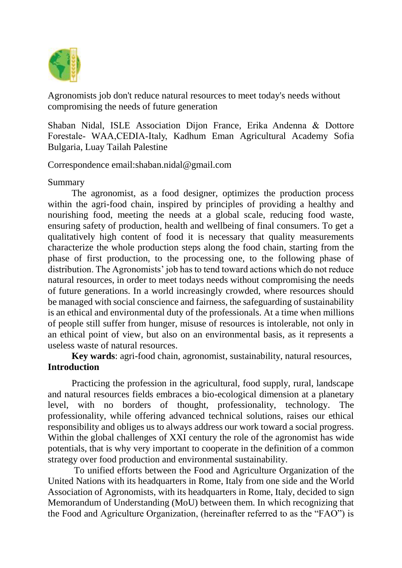

Agronomists job don't reduce natural resources to meet today's needs without compromising the needs of future generation

Shaban Nidal, ISLE Association Dijon France, Erika Andenna & Dottore Forestale- WAA,CEDIA-Italy, Kadhum Eman Agricultural Academy Sofia Bulgaria, Luay Tailah Palestine

Correspondence email:shaban.nidal@gmail.com

### Summary

The agronomist, as a food designer, optimizes the production process within the agri-food chain, inspired by principles of providing a healthy and nourishing food, meeting the needs at a global scale, reducing food waste, ensuring safety of production, health and wellbeing of final consumers. To get a qualitatively high content of food it is necessary that quality measurements characterize the whole production steps along the food chain, starting from the phase of first production, to the processing one, to the following phase of distribution. The Agronomists' job has to tend toward actions which do not reduce natural resources, in order to meet todays needs without compromising the needs of future generations. In a world increasingly crowded, where resources should be managed with social conscience and fairness, the safeguarding of sustainability is an ethical and environmental duty of the professionals. At a time when millions of people still suffer from hunger, misuse of resources is intolerable, not only in an ethical point of view, but also on an environmental basis, as it represents a useless waste of natural resources.

**Key wards**: agri-food chain, agronomist, sustainability, natural resources, **Introduction**

Practicing the profession in the agricultural, food supply, rural, landscape and natural resources fields embraces a bio-ecological dimension at a planetary level, with no borders of thought, professionality, technology. The professionality, while offering advanced technical solutions, raises our ethical responsibility and obliges us to always address our work toward a social progress. Within the global challenges of XXI century the role of the agronomist has wide potentials, that is why very important to cooperate in the definition of a common strategy over food production and environmental sustainability.

To unified efforts between the Food and Agriculture Organization of the United Nations with its headquarters in Rome, Italy from one side and the World Association of Agronomists, with its headquarters in Rome, Italy, decided to sign Memorandum of Understanding (MoU) between them. In which recognizing that the Food and Agriculture Organization, (hereinafter referred to as the "FAO") is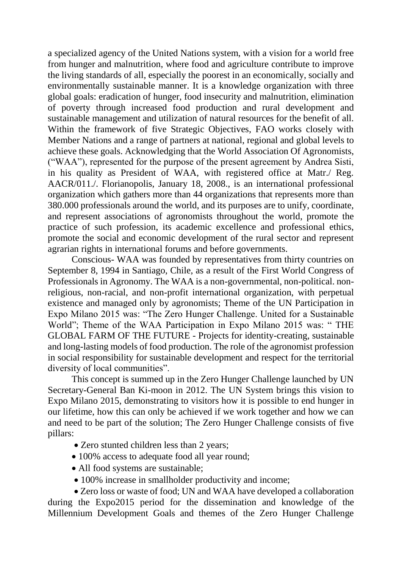a specialized agency of the United Nations system, with a vision for a world free from hunger and malnutrition, where food and agriculture contribute to improve the living standards of all, especially the poorest in an economically, socially and environmentally sustainable manner. It is a knowledge organization with three global goals: eradication of hunger, food insecurity and malnutrition, elimination of poverty through increased food production and rural development and sustainable management and utilization of natural resources for the benefit of all. Within the framework of five Strategic Objectives, FAO works closely with Member Nations and a range of partners at national, regional and global levels to achieve these goals. Acknowledging that the World Association Of Agronomists, ("WAA"), represented for the purpose of the present agreement by Andrea Sisti, in his quality as President of WAA, with registered office at Matr./ Reg. AACR/011./. Florianopolis, January 18, 2008., is an international professional organization which gathers more than 44 organizations that represents more than 380.000 professionals around the world, and its purposes are to unify, coordinate, and represent associations of agronomists throughout the world, promote the practice of such profession, its academic excellence and professional ethics, promote the social and economic development of the rural sector and represent agrarian rights in international forums and before governments.

Conscious- WAA was founded by representatives from thirty countries on September 8, 1994 in Santiago, Chile, as a result of the First World Congress of Professionals in Agronomy. The WAA is a non-governmental, non-political. nonreligious, non-racial, and non-profit international organization, with perpetual existence and managed only by agronomists; Theme of the UN Participation in Expo Milano 2015 was: "The Zero Hunger Challenge. United for a Sustainable World"; Theme of the WAA Participation in Expo Milano 2015 was: " THE GLOBAL FARM OF THE FUTURE - Projects for identity-creating, sustainable and long-lasting models of food production. The role of the agronomist profession in social responsibility for sustainable development and respect for the territorial diversity of local communities".

This concept is summed up in the Zero Hunger Challenge launched by UN Secretary-General Ban Ki-moon in 2012. The UN System brings this vision to Expo Milano 2015, demonstrating to visitors how it is possible to end hunger in our lifetime, how this can only be achieved if we work together and how we can and need to be part of the solution; The Zero Hunger Challenge consists of five pillars:

- Zero stunted children less than 2 years;
- 100% access to adequate food all year round;
- All food systems are sustainable;
- 100% increase in smallholder productivity and income;

 Zero loss or waste of food; UN and WAA have developed a collaboration during the Expo2015 period for the dissemination and knowledge of the Millennium Development Goals and themes of the Zero Hunger Challenge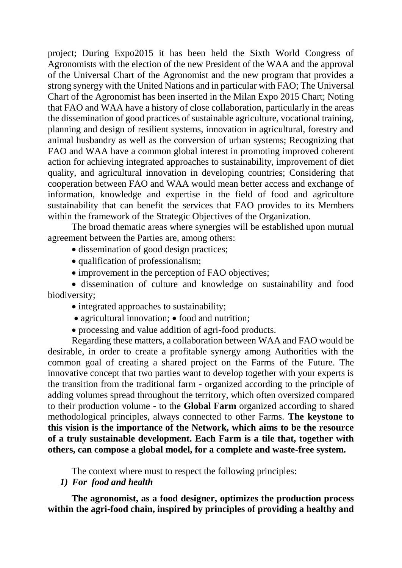project; During Expo2015 it has been held the Sixth World Congress of Agronomists with the election of the new President of the WAA and the approval of the Universal Chart of the Agronomist and the new program that provides a strong synergy with the United Nations and in particular with FAO; The Universal Chart of the Agronomist has been inserted in the Milan Expo 2015 Chart; Noting that FAO and WAA have a history of close collaboration, particularly in the areas the dissemination of good practices of sustainable agriculture, vocational training, planning and design of resilient systems, innovation in agricultural, forestry and animal husbandry as well as the conversion of urban systems; Recognizing that FAO and WAA have a common global interest in promoting improved coherent action for achieving integrated approaches to sustainability, improvement of diet quality, and agricultural innovation in developing countries; Considering that cooperation between FAO and WAA would mean better access and exchange of information, knowledge and expertise in the field of food and agriculture sustainability that can benefit the services that FAO provides to its Members within the framework of the Strategic Objectives of the Organization.

The broad thematic areas where synergies will be established upon mutual agreement between the Parties are, among others:

- dissemination of good design practices;
- qualification of professionalism;
- improvement in the perception of FAO objectives;

• dissemination of culture and knowledge on sustainability and food biodiversity;

- integrated approaches to sustainability;
- $\bullet$  agricultural innovation;  $\bullet$  food and nutrition;
- processing and value addition of agri-food products.

Regarding these matters, a collaboration between WAA and FAO would be desirable, in order to create a profitable synergy among Authorities with the common goal of creating a shared project on the Farms of the Future. The innovative concept that two parties want to develop together with your experts is the transition from the traditional farm - organized according to the principle of adding volumes spread throughout the territory, which often oversized compared to their production volume - to the **Global Farm** organized according to shared methodological principles, always connected to other Farms. **The keystone to this vision is the importance of the Network, which aims to be the resource of a truly sustainable development. Each Farm is a tile that, together with others, can compose a global model, for a complete and waste-free system.**

The context where must to respect the following principles:

#### *1) For food and health*

**The agronomist, as a food designer, optimizes the production process within the agri-food chain, inspired by principles of providing a healthy and**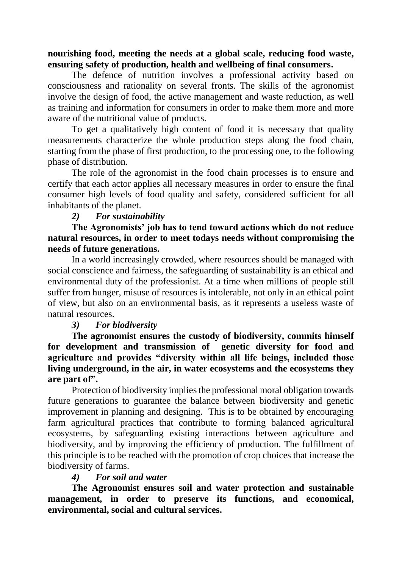### **nourishing food, meeting the needs at a global scale, reducing food waste, ensuring safety of production, health and wellbeing of final consumers.**

The defence of nutrition involves a professional activity based on consciousness and rationality on several fronts. The skills of the agronomist involve the design of food, the active management and waste reduction, as well as training and information for consumers in order to make them more and more aware of the nutritional value of products.

To get a qualitatively high content of food it is necessary that quality measurements characterize the whole production steps along the food chain, starting from the phase of first production, to the processing one, to the following phase of distribution.

The role of the agronomist in the food chain processes is to ensure and certify that each actor applies all necessary measures in order to ensure the final consumer high levels of food quality and safety, considered sufficient for all inhabitants of the planet.

### *2) For sustainability*

## **The Agronomists' job has to tend toward actions which do not reduce natural resources, in order to meet todays needs without compromising the needs of future generations.**

In a world increasingly crowded, where resources should be managed with social conscience and fairness, the safeguarding of sustainability is an ethical and environmental duty of the professionist. At a time when millions of people still suffer from hunger, misuse of resources is intolerable, not only in an ethical point of view, but also on an environmental basis, as it represents a useless waste of natural resources.

### *3) For biodiversity*

**The agronomist ensures the custody of biodiversity, commits himself for development and transmission of genetic diversity for food and agriculture and provides "diversity within all life beings, included those living underground, in the air, in water ecosystems and the ecosystems they are part of".**

Protection of biodiversity implies the professional moral obligation towards future generations to guarantee the balance between biodiversity and genetic improvement in planning and designing. This is to be obtained by encouraging farm agricultural practices that contribute to forming balanced agricultural ecosystems, by safeguarding existing interactions between agriculture and biodiversity, and by improving the efficiency of production. The fulfillment of this principle is to be reached with the promotion of crop choices that increase the biodiversity of farms.

### *4) For soil and water*

**The Agronomist ensures soil and water protection and sustainable management, in order to preserve its functions, and economical, environmental, social and cultural services.**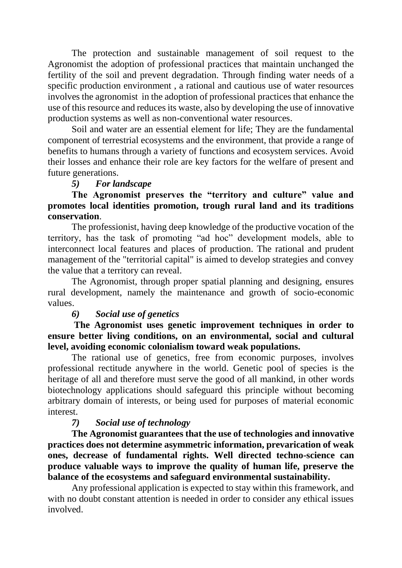The protection and sustainable management of soil request to the Agronomist the adoption of professional practices that maintain unchanged the fertility of the soil and prevent degradation. Through finding water needs of a specific production environment , a rational and cautious use of water resources involves the agronomist in the adoption of professional practices that enhance the use of this resource and reduces its waste, also by developing the use of innovative production systems as well as non-conventional water resources.

Soil and water are an essential element for life; They are the fundamental component of terrestrial ecosystems and the environment, that provide a range of benefits to humans through a variety of functions and ecosystem services. Avoid their losses and enhance their role are key factors for the welfare of present and future generations.

#### *5) For landscape*

**The Agronomist preserves the "territory and culture" value and promotes local identities promotion, trough rural land and its traditions conservation**.

The professionist, having deep knowledge of the productive vocation of the territory, has the task of promoting "ad hoc" development models, able to interconnect local features and places of production. The rational and prudent management of the "territorial capital" is aimed to develop strategies and convey the value that a territory can reveal.

The Agronomist, through proper spatial planning and designing, ensures rural development, namely the maintenance and growth of socio-economic values.

### *6) Social use of genetics*

**The Agronomist uses genetic improvement techniques in order to ensure better living conditions, on an environmental, social and cultural level, avoiding economic colonialism toward weak populations.**

The rational use of genetics, free from economic purposes, involves professional rectitude anywhere in the world. Genetic pool of species is the heritage of all and therefore must serve the good of all mankind, in other words biotechnology applications should safeguard this principle without becoming arbitrary domain of interests, or being used for purposes of material economic interest.

### *7) Social use of technology*

**The Agronomist guarantees that the use of technologies and innovative practices does not determine asymmetric information, prevarication of weak ones, decrease of fundamental rights. Well directed techno-science can produce valuable ways to improve the quality of human life, preserve the balance of the ecosystems and safeguard environmental sustainability.**

Any professional application is expected to stay within this framework, and with no doubt constant attention is needed in order to consider any ethical issues involved.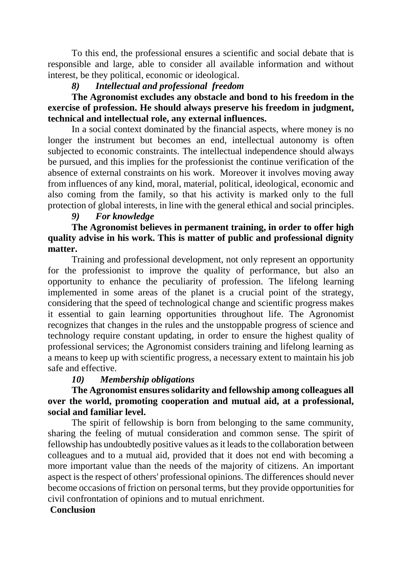To this end, the professional ensures a scientific and social debate that is responsible and large, able to consider all available information and without interest, be they political, economic or ideological.

# *8) Intellectual and professional freedom*

# **The Agronomist excludes any obstacle and bond to his freedom in the exercise of profession. He should always preserve his freedom in judgment, technical and intellectual role, any external influences.**

In a social context dominated by the financial aspects, where money is no longer the instrument but becomes an end, intellectual autonomy is often subjected to economic constraints. The intellectual independence should always be pursued, and this implies for the professionist the continue verification of the absence of external constraints on his work. Moreover it involves moving away from influences of any kind, moral, material, political, ideological, economic and also coming from the family, so that his activity is marked only to the full protection of global interests, in line with the general ethical and social principles.

# *9) For knowledge*

# **The Agronomist believes in permanent training, in order to offer high quality advise in his work. This is matter of public and professional dignity matter.**

Training and professional development, not only represent an opportunity for the professionist to improve the quality of performance, but also an opportunity to enhance the peculiarity of profession. The lifelong learning implemented in some areas of the planet is a crucial point of the strategy, considering that the speed of technological change and scientific progress makes it essential to gain learning opportunities throughout life. The Agronomist recognizes that changes in the rules and the unstoppable progress of science and technology require constant updating, in order to ensure the highest quality of professional services; the Agronomist considers training and lifelong learning as a means to keep up with scientific progress, a necessary extent to maintain his job safe and effective.

# *10) Membership obligations*

# **The Agronomist ensures solidarity and fellowship among colleagues all over the world, promoting cooperation and mutual aid, at a professional, social and familiar level.**

The spirit of fellowship is born from belonging to the same community, sharing the feeling of mutual consideration and common sense. The spirit of fellowship has undoubtedly positive values as it leads to the collaboration between colleagues and to a mutual aid, provided that it does not end with becoming a more important value than the needs of the majority of citizens. An important aspect is the respect of others' professional opinions. The differences should never become occasions of friction on personal terms, but they provide opportunities for civil confrontation of opinions and to mutual enrichment.

### **Conclusion**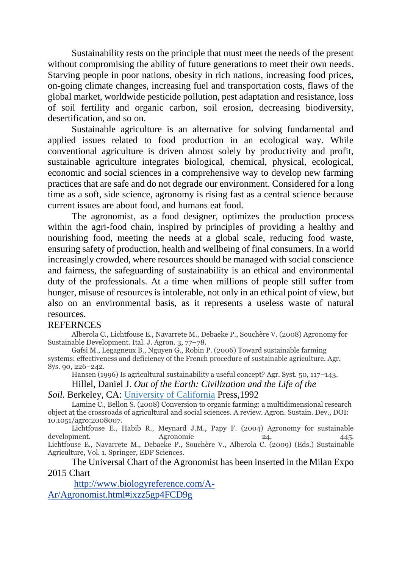Sustainability rests on the principle that must meet the needs of the present without compromising the ability of future generations to meet their own needs. Starving people in poor nations, obesity in rich nations, increasing food prices, on-going climate changes, increasing fuel and transportation costs, flaws of the global market, worldwide pesticide pollution, pest adaptation and resistance, loss of soil fertility and organic carbon, soil erosion, decreasing biodiversity, desertification, and so on.

Sustainable agriculture is an alternative for solving fundamental and applied issues related to food production in an ecological way. While conventional agriculture is driven almost solely by productivity and profit, sustainable agriculture integrates biological, chemical, physical, ecological, economic and social sciences in a comprehensive way to develop new farming practices that are safe and do not degrade our environment. Considered for a long time as a soft, side science, agronomy is rising fast as a central science because current issues are about food, and humans eat food.

The agronomist, as a food designer, optimizes the production process within the agri-food chain, inspired by principles of providing a healthy and nourishing food, meeting the needs at a global scale, reducing food waste, ensuring safety of production, health and wellbeing of final consumers. In a world increasingly crowded, where resources should be managed with social conscience and fairness, the safeguarding of sustainability is an ethical and environmental duty of the professionals. At a time when millions of people still suffer from hunger, misuse of resources is intolerable, not only in an ethical point of view, but also on an environmental basis, as it represents a useless waste of natural resources.

#### **REFERNCES**

Alberola C., Lichtfouse E., Navarrete M., Debaeke P., Souchère V. (2008) Agronomy for Sustainable Development. Ital. J. Agron. 3, 77–78.

Gafsi M., Legagneux B., Nguyen G., Robin P. (2006) Toward sustainable farming systems: effectiveness and deficiency of the French procedure of sustainable agriculture. Agr. Sys. 90, 226–242.

Hansen (1996) Is agricultural sustainability a useful concept? Agr. Syst. 50, 117–143.

Hillel, Daniel J. *Out of the Earth: Civilization and the Life of the* 

*Soil.* Berkeley, CA: [University of California](http://www.biologyreference.com/knowledge/University_of_California.html) Press,1992

Lamine C., Bellon S. (2008) Conversion to organic farming: a multidimensional research object at the crossroads of agricultural and social sciences. A review. Agron. Sustain. Dev., DOI: 10.1051/agro:2008007.

Lichtfouse E., Habib R., Meynard J.M., Papy F. (2004) Agronomy for sustainable development. Agronomie 24, 445. Lichtfouse E., Navarrete M., Debaeke P., Souchère V., Alberola C. (2009) (Eds.) Sustainable Agriculture, Vol. 1. Springer, EDP Sciences.

The Universal Chart of the Agronomist has been inserted in the Milan Expo 2015 Chart

[http://www.biologyreference.com/A-](http://www.biologyreference.com/A-Ar/Agronomist.html#ixzz5gp4FCD9g)[Ar/Agronomist.html#ixzz5gp4FCD9g](http://www.biologyreference.com/A-Ar/Agronomist.html#ixzz5gp4FCD9g)